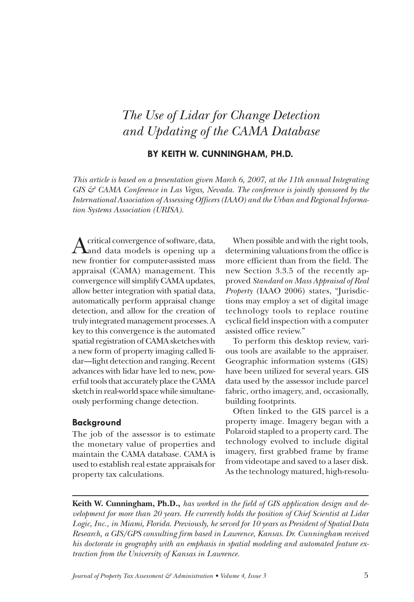# *The Use of Lidar for Change Detection and Updating of the CAMA Database*

## **BY KEITH W. CUNNINGHAM, Ph.D.**

*This article is based on a presentation given March 6, 2007, at the 11th annual Integrating GIS & CAMA Conference in Las Vegas, Nevada. The conference is jointly sponsored by the International Association of Assessing Officers (IAAO) and the Urban and Regional Information Systems Association (URISA).*

A critical convergence of software, data,<br>And data models is opening up a new frontier for computer-assisted mass appraisal (CAMA) management. This convergence will simplify CAMA updates, allow better integration with spatial data, automatically perform appraisal change detection, and allow for the creation of truly integrated management processes. A key to this convergence is the automated spatial registration of CAMA sketches with a new form of property imaging called lidar—light detection and ranging. Recent advances with lidar have led to new, powerful tools that accurately place the CAMA sketch in real-world space while simultaneously performing change detection.

#### **Background**

The job of the assessor is to estimate the monetary value of properties and maintain the CAMA database. CAMA is used to establish real estate appraisals for property tax calculations.

When possible and with the right tools, determining valuations from the office is more efficient than from the field. The new Section 3.3.5 of the recently approved *Standard on Mass Appraisal of Real Property* (IAAO 2006) states, "Jurisdictions may employ a set of digital image technology tools to replace routine cyclical field inspection with a computer assisted office review."

To perform this desktop review, various tools are available to the appraiser. Geographic information systems (GIS) have been utilized for several years. GIS data used by the assessor include parcel fabric, ortho imagery, and, occasionally, building footprints.

Often linked to the GIS parcel is a property image. Imagery began with a Polaroid stapled to a property card. The technology evolved to include digital imagery, first grabbed frame by frame from videotape and saved to a laser disk. As the technology matured, high-resolu-

**Keith W. Cunningham, Ph.D.,** *has worked in the field of GIS application design and development for more than 20 years. He currently holds the position of Chief Scientist at Lidar Logic, Inc., in Miami, Florida. Previously, he served for 10 years as President of Spatial Data Research, a GIS/GPS consulting firm based in Lawrence, Kansas. Dr. Cunningham received his doctorate in geography with an emphasis in spatial modeling and automated feature extraction from the University of Kansas in Lawrence.*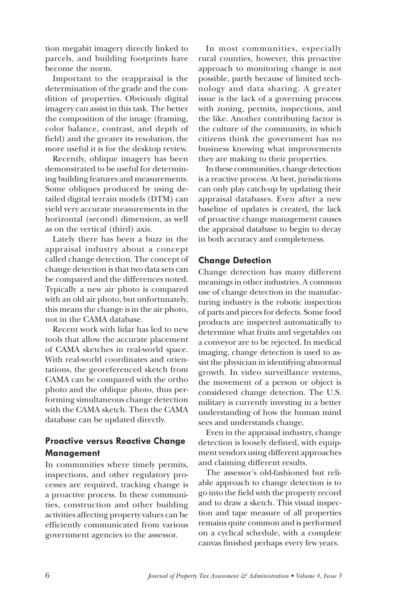tion megabit imagery directly linked to parcels, and building footprints have become the norm.

Important to the reappraisal is the determination of the grade and the condition of properties. Obviously digital imagery can assist in this task. The better the composition of the image (framing, color balance, contrast, and depth of field) and the greater its resolution, the more useful it is for the desktop review.

Recently, oblique imagery has been demonstrated to be useful for determining building features and measurements. Some obliques produced by using detailed digital terrain models (DTM) can yield very accurate measurements in the horizontal (second) dimension, as well as on the vertical (third) axis.

Lately there has been a buzz in the appraisal industry about a concept called change detection. The concept of change detection is that two data sets can be compared and the differences noted. Typically a new air photo is compared with an old air photo, but unfortunately, this means the change is in the air photo, not in the CAMA database.

Recent work with lidar has led to new tools that allow the accurate placement of CAMA sketches in real-world space. With real-world coordinates and orientations, the georeferenced sketch from CAMA can be compared with the ortho photo and the oblique photo, thus performing simultaneous change detection with the CAMA sketch. Then the CAMA database can be updated directly.

# **Proactive versus Reactive Change Management**

In communities where timely permits, inspections, and other regulatory processes are required, tracking change is a proactive process. In these communities, construction and other building activities affecting property values can be efficiently communicated from various government agencies to the assessor.

In most communities, especially rural counties, however, this proactive approach to monitoring change is not possible, partly because of limited technology and data sharing. A greater issue is the lack of a governing process with zoning, permits, inspections, and the like. Another contributing factor is the culture of the community, in which citizens think the government has no business knowing what improvements they are making to their properties.

In these communities, change detection is a reactive process. At best, jurisdictions can only play catch-up by updating their appraisal databases. Even after a new baseline of updates is created, the lack of proactive change management causes the appraisal database to begin to decay in both accuracy and completeness.

## **Change Detection**

Change detection has many different meanings in other industries. A common use of change detection in the manufacturing industry is the robotic inspection of parts and pieces for defects. Some food products are inspected automatically to determine what fruits and vegetables on a conveyor are to be rejected. In medical imaging, change detection is used to assist the physician in identifying abnormal growth. In video surveillance systems, the movement of a person or object is considered change detection. The U.S. military is currently investing in a better understanding of how the human mind sees and understands change.

Even in the appraisal industry, change detection is loosely defined, with equipment vendors using different approaches and claiming different results.

The assessor's old-fashioned but reliable approach to change detection is to go into the field with the property record and to draw a sketch. This visual inspection and tape measure of all properties remains quite common and is performed on a cyclical schedule, with a complete canvas finished perhaps every few years.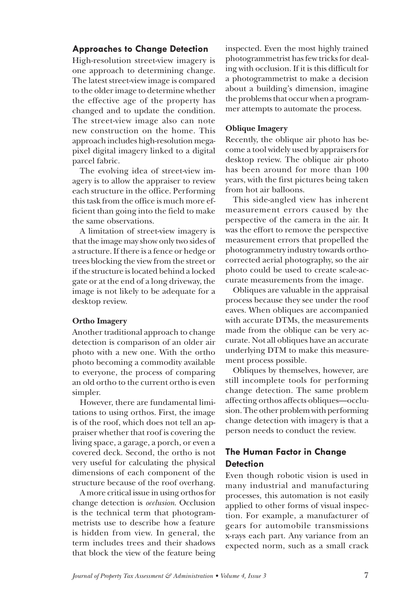# **Approaches to Change Detection**

High-resolution street-view imagery is one approach to determining change. The latest street-view image is compared to the older image to determine whether the effective age of the property has changed and to update the condition. The street-view image also can note new construction on the home. This approach includes high-resolution megapixel digital imagery linked to a digital parcel fabric.

The evolving idea of street-view imagery is to allow the appraiser to review each structure in the office. Performing this task from the office is much more efficient than going into the field to make the same observations.

A limitation of street-view imagery is that the image may show only two sides of a structure. If there is a fence or hedge or trees blocking the view from the street or if the structure is located behind a locked gate or at the end of a long driveway, the image is not likely to be adequate for a desktop review.

#### **Ortho Imagery**

Another traditional approach to change detection is comparison of an older air photo with a new one. With the ortho photo becoming a commodity available to everyone, the process of comparing an old ortho to the current ortho is even simpler.

However, there are fundamental limitations to using orthos. First, the image is of the roof, which does not tell an appraiser whether that roof is covering the living space, a garage, a porch, or even a covered deck. Second, the ortho is not very useful for calculating the physical dimensions of each component of the structure because of the roof overhang.

A more critical issue in using orthos for change detection is *occlusion*. Occlusion is the technical term that photogrammetrists use to describe how a feature is hidden from view. In general, the term includes trees and their shadows that block the view of the feature being inspected. Even the most highly trained photogrammetrist has few tricks for dealing with occlusion. If it is this difficult for a photogrammetrist to make a decision about a building's dimension, imagine the problems that occur when a programmer attempts to automate the process.

#### **Oblique Imagery**

Recently, the oblique air photo has become a tool widely used by appraisers for desktop review. The oblique air photo has been around for more than 100 years, with the first pictures being taken from hot air balloons.

This side-angled view has inherent measurement errors caused by the perspective of the camera in the air. It was the effort to remove the perspective measurement errors that propelled the photogrammetry industry towards orthocorrected aerial photography, so the air photo could be used to create scale-accurate measurements from the image.

Obliques are valuable in the appraisal process because they see under the roof eaves. When obliques are accompanied with accurate DTMs, the measurements made from the oblique can be very accurate. Not all obliques have an accurate underlying DTM to make this measurement process possible.

Obliques by themselves, however, are still incomplete tools for performing change detection. The same problem affecting orthos affects obliques—occlusion. The other problem with performing change detection with imagery is that a person needs to conduct the review.

# **The Human Factor in Change Detection**

Even though robotic vision is used in many industrial and manufacturing processes, this automation is not easily applied to other forms of visual inspection. For example, a manufacturer of gears for automobile transmissions x-rays each part. Any variance from an expected norm, such as a small crack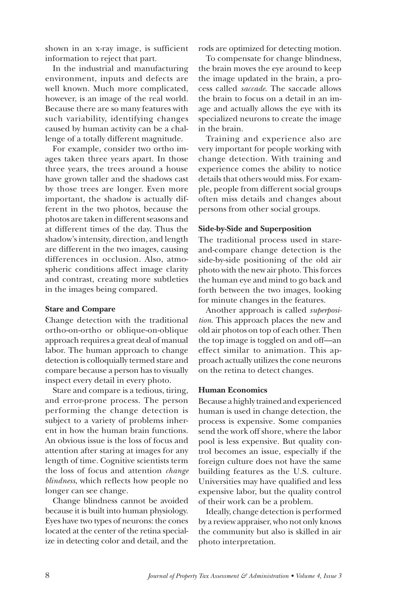shown in an x-ray image, is sufficient information to reject that part.

In the industrial and manufacturing environment, inputs and defects are well known. Much more complicated, however, is an image of the real world. Because there are so many features with such variability, identifying changes caused by human activity can be a challenge of a totally different magnitude.

For example, consider two ortho images taken three years apart. In those three years, the trees around a house have grown taller and the shadows cast by those trees are longer. Even more important, the shadow is actually different in the two photos, because the photos are taken in different seasons and at different times of the day. Thus the shadow's intensity, direction, and length are different in the two images, causing differences in occlusion. Also, atmospheric conditions affect image clarity and contrast, creating more subtleties in the images being compared.

#### **Stare and Compare**

Change detection with the traditional ortho-on-ortho or oblique-on-oblique approach requires a great deal of manual labor. The human approach to change detection is colloquially termed stare and compare because a person has to visually inspect every detail in every photo.

Stare and compare is a tedious, tiring, and error-prone process. The person performing the change detection is subject to a variety of problems inherent in how the human brain functions. An obvious issue is the loss of focus and attention after staring at images for any length of time. Cognitive scientists term the loss of focus and attention *change blindness*, which reflects how people no longer can see change.

Change blindness cannot be avoided because it is built into human physiology. Eyes have two types of neurons: the cones located at the center of the retina specialize in detecting color and detail, and the

rods are optimized for detecting motion.

To compensate for change blindness, the brain moves the eye around to keep the image updated in the brain, a process called *saccade*. The saccade allows the brain to focus on a detail in an image and actually allows the eye with its specialized neurons to create the image in the brain.

Training and experience also are very important for people working with change detection. With training and experience comes the ability to notice details that others would miss. For example, people from different social groups often miss details and changes about persons from other social groups.

#### **Side-by-Side and Superposition**

The traditional process used in stareand-compare change detection is the side-by-side positioning of the old air photo with the new air photo. This forces the human eye and mind to go back and forth between the two images, looking for minute changes in the features.

Another approach is called *superposition*. This approach places the new and old air photos on top of each other. Then the top image is toggled on and off—an effect similar to animation. This approach actually utilizes the cone neurons on the retina to detect changes.

#### **Human Economics**

Because a highly trained and experienced human is used in change detection, the process is expensive. Some companies send the work off shore, where the labor pool is less expensive. But quality control becomes an issue, especially if the foreign culture does not have the same building features as the U.S. culture. Universities may have qualified and less expensive labor, but the quality control of their work can be a problem.

Ideally, change detection is performed by a review appraiser, who not only knows the community but also is skilled in air photo interpretation.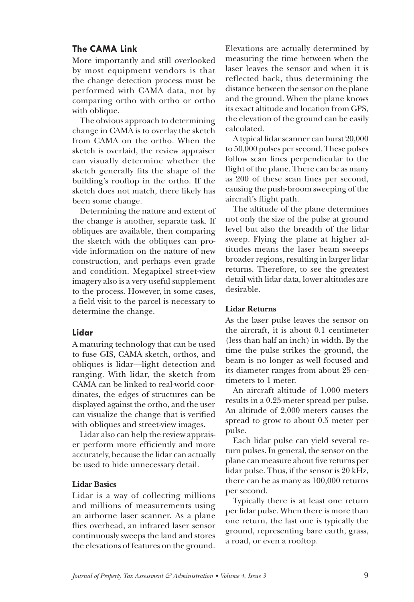## **The CAMA Link**

More importantly and still overlooked by most equipment vendors is that the change detection process must be performed with CAMA data, not by comparing ortho with ortho or ortho with oblique.

The obvious approach to determining change in CAMA is to overlay the sketch from CAMA on the ortho. When the sketch is overlaid, the review appraiser can visually determine whether the sketch generally fits the shape of the building's rooftop in the ortho. If the sketch does not match, there likely has been some change.

Determining the nature and extent of the change is another, separate task. If obliques are available, then comparing the sketch with the obliques can provide information on the nature of new construction, and perhaps even grade and condition. Megapixel street-view imagery also is a very useful supplement to the process. However, in some cases, a field visit to the parcel is necessary to determine the change.

#### **Lidar**

A maturing technology that can be used to fuse GIS, CAMA sketch, orthos, and obliques is lidar—light detection and ranging. With lidar, the sketch from CAMA can be linked to real-world coordinates, the edges of structures can be displayed against the ortho, and the user can visualize the change that is verified with obliques and street-view images.

Lidar also can help the review appraiser perform more efficiently and more accurately, because the lidar can actually be used to hide unnecessary detail.

#### **Lidar Basics**

Lidar is a way of collecting millions and millions of measurements using an airborne laser scanner. As a plane flies overhead, an infrared laser sensor continuously sweeps the land and stores the elevations of features on the ground. Elevations are actually determined by measuring the time between when the laser leaves the sensor and when it is reflected back, thus determining the distance between the sensor on the plane and the ground. When the plane knows its exact altitude and location from GPS, the elevation of the ground can be easily calculated.

A typical lidar scanner can burst 20,000 to 50,000 pulses per second. These pulses follow scan lines perpendicular to the flight of the plane. There can be as many as 200 of these scan lines per second, causing the push-broom sweeping of the aircraft's flight path.

The altitude of the plane determines not only the size of the pulse at ground level but also the breadth of the lidar sweep. Flying the plane at higher altitudes means the laser beam sweeps broader regions, resulting in larger lidar returns. Therefore, to see the greatest detail with lidar data, lower altitudes are desirable.

#### **Lidar Returns**

As the laser pulse leaves the sensor on the aircraft, it is about 0.1 centimeter (less than half an inch) in width. By the time the pulse strikes the ground, the beam is no longer as well focused and its diameter ranges from about 25 centimeters to 1 meter.

An aircraft altitude of 1,000 meters results in a 0.25-meter spread per pulse. An altitude of 2,000 meters causes the spread to grow to about 0.5 meter per pulse.

Each lidar pulse can yield several return pulses. In general, the sensor on the plane can measure about five returns per lidar pulse. Thus, if the sensor is 20 kHz, there can be as many as 100,000 returns per second.

Typically there is at least one return per lidar pulse. When there is more than one return, the last one is typically the ground, representing bare earth, grass, a road, or even a rooftop.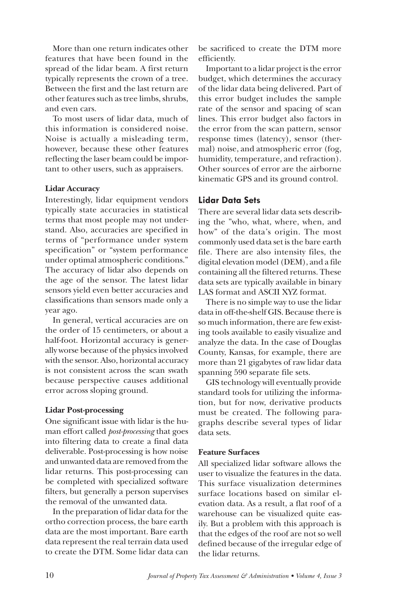More than one return indicates other features that have been found in the spread of the lidar beam. A first return typically represents the crown of a tree. Between the first and the last return are other features such as tree limbs, shrubs, and even cars.

To most users of lidar data, much of this information is considered noise. Noise is actually a misleading term, however, because these other features reflecting the laser beam could be important to other users, such as appraisers.

#### **Lidar Accuracy**

Interestingly, lidar equipment vendors typically state accuracies in statistical terms that most people may not understand. Also, accuracies are specified in terms of "performance under system specification" or "system performance under optimal atmospheric conditions." The accuracy of lidar also depends on the age of the sensor. The latest lidar sensors yield even better accuracies and classifications than sensors made only a year ago.

In general, vertical accuracies are on the order of 15 centimeters, or about a half-foot. Horizontal accuracy is generally worse because of the physics involved with the sensor. Also, horizontal accuracy is not consistent across the scan swath because perspective causes additional error across sloping ground.

#### **Lidar Post-processing**

One significant issue with lidar is the human effort called *post-processing* that goes into filtering data to create a final data deliverable. Post-processing is how noise and unwanted data are removed from the lidar returns. This post-processing can be completed with specialized software filters, but generally a person supervises the removal of the unwanted data.

In the preparation of lidar data for the ortho correction process, the bare earth data are the most important. Bare earth data represent the real terrain data used to create the DTM. Some lidar data can

be sacrificed to create the DTM more efficiently.

Important to a lidar project is the error budget, which determines the accuracy of the lidar data being delivered. Part of this error budget includes the sample rate of the sensor and spacing of scan lines. This error budget also factors in the error from the scan pattern, sensor response times (latency), sensor (thermal) noise, and atmospheric error (fog, humidity, temperature, and refraction). Other sources of error are the airborne kinematic GPS and its ground control.

### **Lidar Data Sets**

There are several lidar data sets describing the "who, what, where, when, and how" of the data's origin. The most commonly used data set is the bare earth file. There are also intensity files, the digital elevation model (DEM), and a file containing all the filtered returns. These data sets are typically available in binary LAS format and ASCII XYZ format.

There is no simple way to use the lidar data in off-the-shelf GIS. Because there is so much information, there are few existing tools available to easily visualize and analyze the data. In the case of Douglas County, Kansas, for example, there are more than 21 gigabytes of raw lidar data spanning 590 separate file sets.

GIS technology will eventually provide standard tools for utilizing the information, but for now, derivative products must be created. The following paragraphs describe several types of lidar data sets.

#### **Feature Surfaces**

All specialized lidar software allows the user to visualize the features in the data. This surface visualization determines surface locations based on similar elevation data. As a result, a flat roof of a warehouse can be visualized quite easily. But a problem with this approach is that the edges of the roof are not so well defined because of the irregular edge of the lidar returns.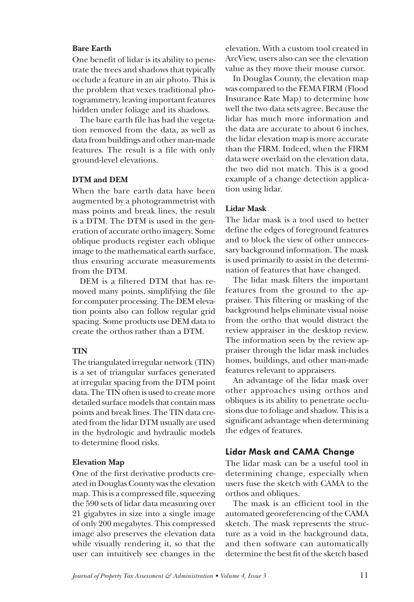#### **Bare Earth**

One benefit of lidar is its ability to penetrate the trees and shadows that typically occlude a feature in an air photo. This is the problem that vexes traditional photogrammetry, leaving important features hidden under foliage and its shadows.

The bare earth file has had the vegetation removed from the data, as well as data from buildings and other man-made features. The result is a file with only ground-level elevations.

#### **DTM and DEM**

When the bare earth data have been augmented by a photogrammetrist with mass points and break lines, the result is a DTM. The DTM is used in the generation of accurate ortho imagery. Some oblique products register each oblique image to the mathematical earth surface, thus ensuring accurate measurements from the DTM.

DEM is a filtered DTM that has removed many points, simplifying the file for computer processing. The DEM elevation points also can follow regular grid spacing. Some products use DEM data to create the orthos rather than a DTM.

#### **TIN**

The triangulated irregular network (TIN) is a set of triangular surfaces generated at irregular spacing from the DTM point data. The TIN often is used to create more detailed surface models that contain mass points and break lines. The TIN data created from the lidar DTM usually are used in the hydrologic and hydraulic models to determine flood risks.

#### **Elevation Map**

One of the first derivative products created in Douglas County was the elevation map. This is a compressed file, squeezing the 590 sets of lidar data measuring over 21 gigabytes in size into a single image of only 200 megabytes. This compressed image also preserves the elevation data while visually rendering it, so that the user can intuitively see changes in the elevation. With a custom tool created in ArcView, users also can see the elevation value as they move their mouse cursor.

In Douglas County, the elevation map was compared to the FEMA FIRM (Flood Insurance Rate Map) to determine how well the two data sets agree. Because the lidar has much more information and the data are accurate to about 6 inches, the lidar elevation map is more accurate than the FIRM. Indeed, when the FIRM data were overlaid on the elevation data, the two did not match. This is a good example of a change detection application using lidar.

#### **Lidar Mask**

The lidar mask is a tool used to better define the edges of foreground features and to block the view of other unnecessary background information. The mask is used primarily to assist in the determination of features that have changed.

The lidar mask filters the important features from the ground to the appraiser. This filtering or masking of the background helps eliminate visual noise from the ortho that would distract the review appraiser in the desktop review. The information seen by the review appraiser through the lidar mask includes homes, buildings, and other man-made features relevant to appraisers.

An advantage of the lidar mask over other approaches using orthos and obliques is its ability to penetrate occlusions due to foliage and shadow. This is a significant advantage when determining the edges of features.

#### **Lidar Mask and CAMA Change**

The lidar mask can be a useful tool in determining change, especially when users fuse the sketch with CAMA to the orthos and obliques.

The mask is an efficient tool in the automated georeferencing of the CAMA sketch. The mask represents the structure as a void in the background data, and then software can automatically determine the best fit of the sketch based